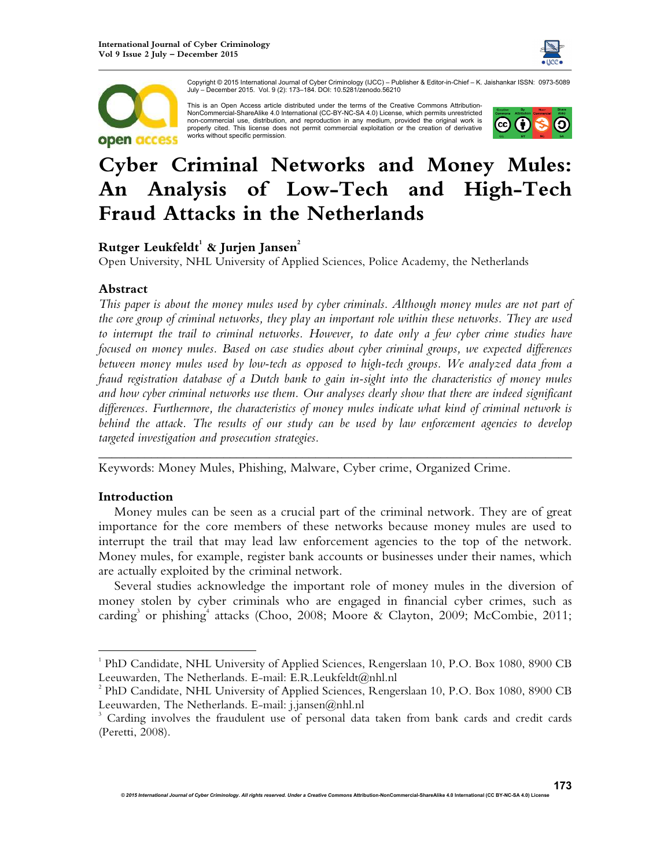



Copyright © 2015 International Journal of Cyber Criminology (IJCC) – Publisher & Editor-in-Chief – K. Jaishankar ISSN: 0973-5089 July – December 2015. Vol. 9 (2): 173–184. DOI: 10.5281/zenodo.56210

This is an Open Access article distributed under the terms of the Creative Commons Attribution-NonCommercial-ShareAlike 4.0 International (CC-BY-NC-SA 4.0) License, which permits unrestricted non-commercial use, distribution, and reproduction in any medium, provided the original work is properly cited. This license does not permit commercial exploitation or the creation of derivative works without specific permission.



# **Cyber Criminal Networks and Money Mules: An Analysis of Low-Tech and High-Tech Fraud Attacks in the Netherlands**

# **Rutger Leukfeldt<sup>1</sup> & Jurjen Jansen<sup>2</sup>**

Open University, NHL University of Applied Sciences, Police Academy, the Netherlands

## **Abstract**

*This paper is about the money mules used by cyber criminals. Although money mules are not part of the core group of criminal networks, they play an important role within these networks. They are used to interrupt the trail to criminal networks. However, to date only a few cyber crime studies have focused on money mules. Based on case studies about cyber criminal groups, we expected differences between money mules used by low-tech as opposed to high-tech groups. We analyzed data from a fraud registration database of a Dutch bank to gain in-sight into the characteristics of money mules and how cyber criminal networks use them. Our analyses clearly show that there are indeed significant differences. Furthermore, the characteristics of money mules indicate what kind of criminal network is behind the attack. The results of our study can be used by law enforcement agencies to develop targeted investigation and prosecution strategies.* 

*\_\_\_\_\_\_\_\_\_\_\_\_\_\_\_\_\_\_\_\_\_\_\_\_\_\_\_\_\_\_\_\_\_\_\_\_\_\_\_\_\_\_\_\_\_\_\_\_\_\_\_\_\_\_\_\_\_\_\_\_\_\_\_\_\_\_\_\_\_\_\_\_*

Keywords: Money Mules, Phishing, Malware, Cyber crime, Organized Crime.

## **Introduction**

l

Money mules can be seen as a crucial part of the criminal network. They are of great importance for the core members of these networks because money mules are used to interrupt the trail that may lead law enforcement agencies to the top of the network. Money mules, for example, register bank accounts or businesses under their names, which are actually exploited by the criminal network.

Several studies acknowledge the important role of money mules in the diversion of money stolen by cyber criminals who are engaged in financial cyber crimes, such as carding<sup>3</sup> or phishing<sup>4</sup> attacks (Choo, 2008; Moore & Clayton, 2009; McCombie, 2011;

<sup>&</sup>lt;sup>1</sup> PhD Candidate, NHL University of Applied Sciences, Rengerslaan 10, P.O. Box 1080, 8900 CB Leeuwarden, The Netherlands. E-mail: E.R.Leukfeldt@nhl.nl

<sup>&</sup>lt;sup>2</sup> PhD Candidate, NHL University of Applied Sciences, Rengerslaan 10, P.O. Box 1080, 8900 CB Leeuwarden, The Netherlands. E-mail: j.jansen@nhl.nl

<sup>3</sup> Carding involves the fraudulent use of personal data taken from bank cards and credit cards (Peretti, 2008).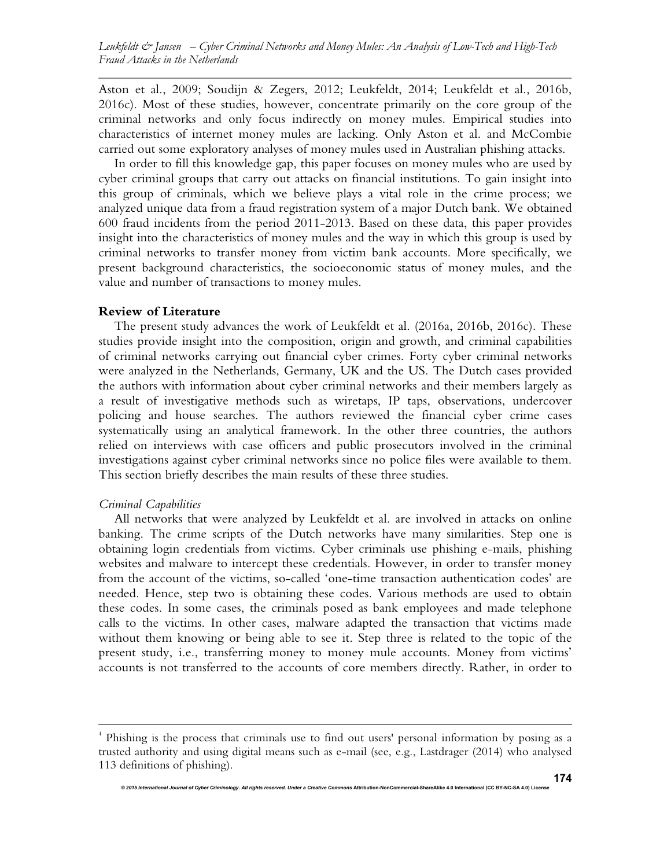Aston et al., 2009; Soudijn & Zegers, 2012; Leukfeldt, 2014; Leukfeldt et al., 2016b, 2016c). Most of these studies, however, concentrate primarily on the core group of the criminal networks and only focus indirectly on money mules. Empirical studies into characteristics of internet money mules are lacking. Only Aston et al. and McCombie carried out some exploratory analyses of money mules used in Australian phishing attacks.

In order to fill this knowledge gap, this paper focuses on money mules who are used by cyber criminal groups that carry out attacks on financial institutions. To gain insight into this group of criminals, which we believe plays a vital role in the crime process; we analyzed unique data from a fraud registration system of a major Dutch bank. We obtained 600 fraud incidents from the period 2011-2013. Based on these data, this paper provides insight into the characteristics of money mules and the way in which this group is used by criminal networks to transfer money from victim bank accounts. More specifically, we present background characteristics, the socioeconomic status of money mules, and the value and number of transactions to money mules.

#### **Review of Literature**

The present study advances the work of Leukfeldt et al. (2016a, 2016b, 2016c). These studies provide insight into the composition, origin and growth, and criminal capabilities of criminal networks carrying out financial cyber crimes. Forty cyber criminal networks were analyzed in the Netherlands, Germany, UK and the US. The Dutch cases provided the authors with information about cyber criminal networks and their members largely as a result of investigative methods such as wiretaps, IP taps, observations, undercover policing and house searches. The authors reviewed the financial cyber crime cases systematically using an analytical framework. In the other three countries, the authors relied on interviews with case officers and public prosecutors involved in the criminal investigations against cyber criminal networks since no police files were available to them. This section briefly describes the main results of these three studies.

## *Criminal Capabilities*

l

All networks that were analyzed by Leukfeldt et al. are involved in attacks on online banking. The crime scripts of the Dutch networks have many similarities. Step one is obtaining login credentials from victims. Cyber criminals use phishing e-mails, phishing websites and malware to intercept these credentials. However, in order to transfer money from the account of the victims, so-called 'one-time transaction authentication codes' are needed. Hence, step two is obtaining these codes. Various methods are used to obtain these codes. In some cases, the criminals posed as bank employees and made telephone calls to the victims. In other cases, malware adapted the transaction that victims made without them knowing or being able to see it. Step three is related to the topic of the present study, i.e., transferring money to money mule accounts. Money from victims' accounts is not transferred to the accounts of core members directly. Rather, in order to

<sup>4</sup> Phishing is the process that criminals use to find out users' personal information by posing as a trusted authority and using digital means such as e-mail (see, e.g., Lastdrager (2014) who analysed 113 definitions of phishing).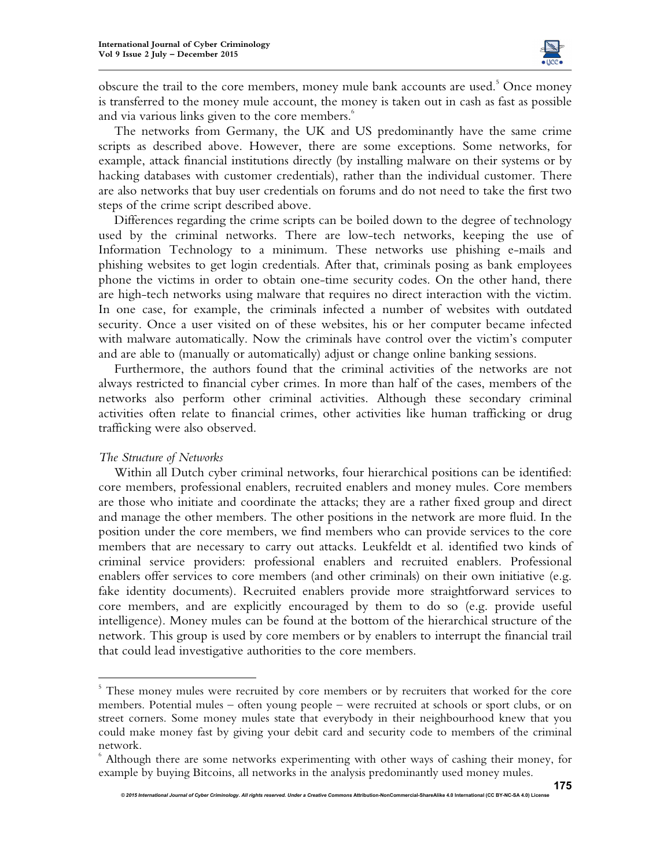

obscure the trail to the core members, money mule bank accounts are used.<sup>5</sup> Once money is transferred to the money mule account, the money is taken out in cash as fast as possible and via various links given to the core members.<sup>6</sup>

The networks from Germany, the UK and US predominantly have the same crime scripts as described above. However, there are some exceptions. Some networks, for example, attack financial institutions directly (by installing malware on their systems or by hacking databases with customer credentials), rather than the individual customer. There are also networks that buy user credentials on forums and do not need to take the first two steps of the crime script described above.

Differences regarding the crime scripts can be boiled down to the degree of technology used by the criminal networks. There are low-tech networks, keeping the use of Information Technology to a minimum. These networks use phishing e-mails and phishing websites to get login credentials. After that, criminals posing as bank employees phone the victims in order to obtain one-time security codes. On the other hand, there are high-tech networks using malware that requires no direct interaction with the victim. In one case, for example, the criminals infected a number of websites with outdated security. Once a user visited on of these websites, his or her computer became infected with malware automatically. Now the criminals have control over the victim's computer and are able to (manually or automatically) adjust or change online banking sessions.

Furthermore, the authors found that the criminal activities of the networks are not always restricted to financial cyber crimes. In more than half of the cases, members of the networks also perform other criminal activities. Although these secondary criminal activities often relate to financial crimes, other activities like human trafficking or drug trafficking were also observed.

## *The Structure of Networks*

l

Within all Dutch cyber criminal networks, four hierarchical positions can be identified: core members, professional enablers, recruited enablers and money mules. Core members are those who initiate and coordinate the attacks; they are a rather fixed group and direct and manage the other members. The other positions in the network are more fluid. In the position under the core members, we find members who can provide services to the core members that are necessary to carry out attacks. Leukfeldt et al. identified two kinds of criminal service providers: professional enablers and recruited enablers. Professional enablers offer services to core members (and other criminals) on their own initiative (e.g. fake identity documents). Recruited enablers provide more straightforward services to core members, and are explicitly encouraged by them to do so (e.g. provide useful intelligence). Money mules can be found at the bottom of the hierarchical structure of the network. This group is used by core members or by enablers to interrupt the financial trail that could lead investigative authorities to the core members.

<sup>&</sup>lt;sup>5</sup> These money mules were recruited by core members or by recruiters that worked for the core members. Potential mules – often young people – were recruited at schools or sport clubs, or on street corners. Some money mules state that everybody in their neighbourhood knew that you could make money fast by giving your debit card and security code to members of the criminal network.

<sup>6</sup> Although there are some networks experimenting with other ways of cashing their money, for example by buying Bitcoins, all networks in the analysis predominantly used money mules.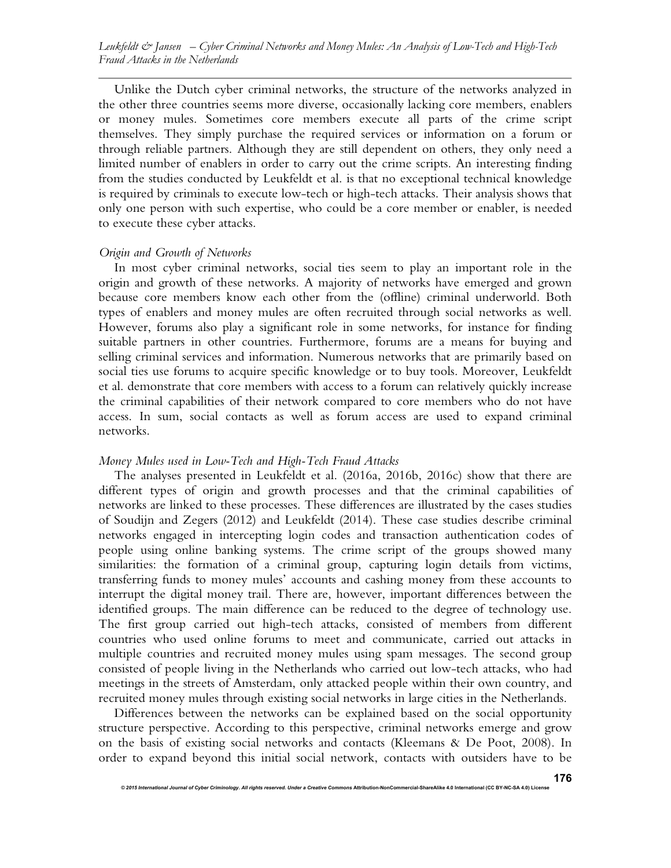Unlike the Dutch cyber criminal networks, the structure of the networks analyzed in the other three countries seems more diverse, occasionally lacking core members, enablers or money mules. Sometimes core members execute all parts of the crime script themselves. They simply purchase the required services or information on a forum or through reliable partners. Although they are still dependent on others, they only need a limited number of enablers in order to carry out the crime scripts. An interesting finding from the studies conducted by Leukfeldt et al. is that no exceptional technical knowledge is required by criminals to execute low-tech or high-tech attacks. Their analysis shows that only one person with such expertise, who could be a core member or enabler, is needed to execute these cyber attacks.

#### *Origin and Growth of Networks*

In most cyber criminal networks, social ties seem to play an important role in the origin and growth of these networks. A majority of networks have emerged and grown because core members know each other from the (offline) criminal underworld. Both types of enablers and money mules are often recruited through social networks as well. However, forums also play a significant role in some networks, for instance for finding suitable partners in other countries. Furthermore, forums are a means for buying and selling criminal services and information. Numerous networks that are primarily based on social ties use forums to acquire specific knowledge or to buy tools. Moreover, Leukfeldt et al. demonstrate that core members with access to a forum can relatively quickly increase the criminal capabilities of their network compared to core members who do not have access. In sum, social contacts as well as forum access are used to expand criminal networks.

## *Money Mules used in Low-Tech and High-Tech Fraud Attacks*

The analyses presented in Leukfeldt et al. (2016a, 2016b, 2016c) show that there are different types of origin and growth processes and that the criminal capabilities of networks are linked to these processes. These differences are illustrated by the cases studies of Soudijn and Zegers (2012) and Leukfeldt (2014). These case studies describe criminal networks engaged in intercepting login codes and transaction authentication codes of people using online banking systems. The crime script of the groups showed many similarities: the formation of a criminal group, capturing login details from victims, transferring funds to money mules' accounts and cashing money from these accounts to interrupt the digital money trail. There are, however, important differences between the identified groups. The main difference can be reduced to the degree of technology use. The first group carried out high-tech attacks, consisted of members from different countries who used online forums to meet and communicate, carried out attacks in multiple countries and recruited money mules using spam messages. The second group consisted of people living in the Netherlands who carried out low-tech attacks, who had meetings in the streets of Amsterdam, only attacked people within their own country, and recruited money mules through existing social networks in large cities in the Netherlands.

Differences between the networks can be explained based on the social opportunity structure perspective. According to this perspective, criminal networks emerge and grow on the basis of existing social networks and contacts (Kleemans & De Poot, 2008). In order to expand beyond this initial social network, contacts with outsiders have to be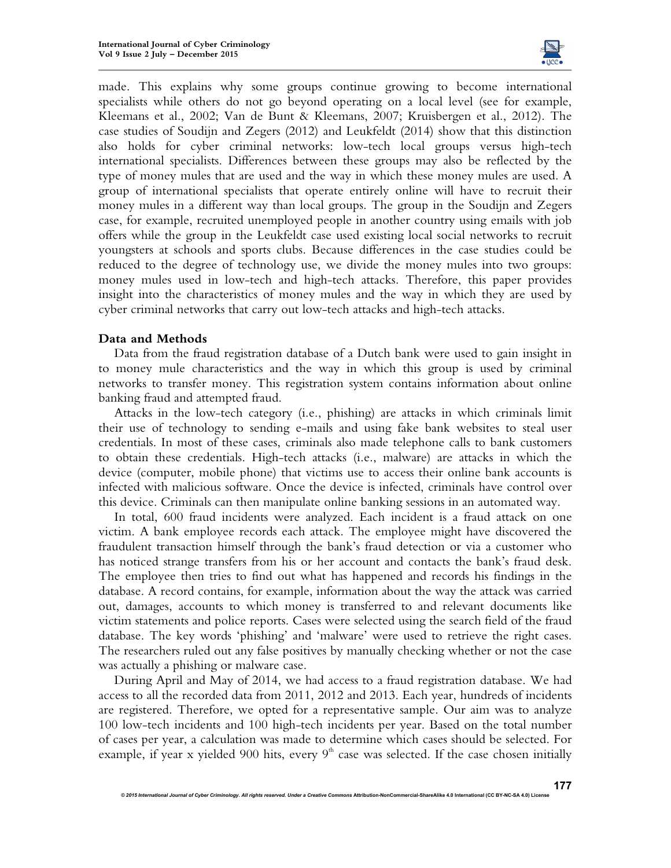

made. This explains why some groups continue growing to become international specialists while others do not go beyond operating on a local level (see for example, Kleemans et al., 2002; Van de Bunt & Kleemans, 2007; Kruisbergen et al., 2012). The case studies of Soudijn and Zegers (2012) and Leukfeldt (2014) show that this distinction also holds for cyber criminal networks: low-tech local groups versus high-tech international specialists. Differences between these groups may also be reflected by the type of money mules that are used and the way in which these money mules are used. A group of international specialists that operate entirely online will have to recruit their money mules in a different way than local groups. The group in the Soudijn and Zegers case, for example, recruited unemployed people in another country using emails with job offers while the group in the Leukfeldt case used existing local social networks to recruit youngsters at schools and sports clubs. Because differences in the case studies could be reduced to the degree of technology use, we divide the money mules into two groups: money mules used in low-tech and high-tech attacks. Therefore, this paper provides insight into the characteristics of money mules and the way in which they are used by cyber criminal networks that carry out low-tech attacks and high-tech attacks.

## **Data and Methods**

Data from the fraud registration database of a Dutch bank were used to gain insight in to money mule characteristics and the way in which this group is used by criminal networks to transfer money. This registration system contains information about online banking fraud and attempted fraud.

Attacks in the low-tech category (i.e., phishing) are attacks in which criminals limit their use of technology to sending e-mails and using fake bank websites to steal user credentials. In most of these cases, criminals also made telephone calls to bank customers to obtain these credentials. High-tech attacks (i.e., malware) are attacks in which the device (computer, mobile phone) that victims use to access their online bank accounts is infected with malicious software. Once the device is infected, criminals have control over this device. Criminals can then manipulate online banking sessions in an automated way.

In total, 600 fraud incidents were analyzed. Each incident is a fraud attack on one victim. A bank employee records each attack. The employee might have discovered the fraudulent transaction himself through the bank's fraud detection or via a customer who has noticed strange transfers from his or her account and contacts the bank's fraud desk. The employee then tries to find out what has happened and records his findings in the database. A record contains, for example, information about the way the attack was carried out, damages, accounts to which money is transferred to and relevant documents like victim statements and police reports. Cases were selected using the search field of the fraud database. The key words 'phishing' and 'malware' were used to retrieve the right cases. The researchers ruled out any false positives by manually checking whether or not the case was actually a phishing or malware case.

During April and May of 2014, we had access to a fraud registration database. We had access to all the recorded data from 2011, 2012 and 2013. Each year, hundreds of incidents are registered. Therefore, we opted for a representative sample. Our aim was to analyze 100 low-tech incidents and 100 high-tech incidents per year. Based on the total number of cases per year, a calculation was made to determine which cases should be selected. For example, if year x yielded 900 hits, every  $9<sup>th</sup>$  case was selected. If the case chosen initially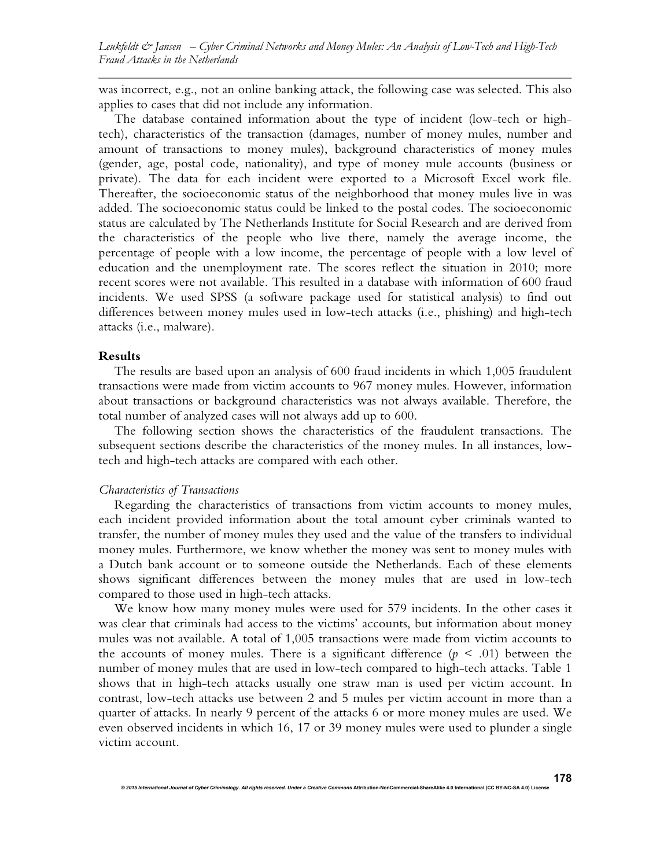was incorrect, e.g., not an online banking attack, the following case was selected. This also applies to cases that did not include any information.

The database contained information about the type of incident (low-tech or hightech), characteristics of the transaction (damages, number of money mules, number and amount of transactions to money mules), background characteristics of money mules (gender, age, postal code, nationality), and type of money mule accounts (business or private). The data for each incident were exported to a Microsoft Excel work file. Thereafter, the socioeconomic status of the neighborhood that money mules live in was added. The socioeconomic status could be linked to the postal codes. The socioeconomic status are calculated by The Netherlands Institute for Social Research and are derived from the characteristics of the people who live there, namely the average income, the percentage of people with a low income, the percentage of people with a low level of education and the unemployment rate. The scores reflect the situation in 2010; more recent scores were not available. This resulted in a database with information of 600 fraud incidents. We used SPSS (a software package used for statistical analysis) to find out differences between money mules used in low-tech attacks (i.e., phishing) and high-tech attacks (i.e., malware).

#### **Results**

The results are based upon an analysis of 600 fraud incidents in which 1,005 fraudulent transactions were made from victim accounts to 967 money mules. However, information about transactions or background characteristics was not always available. Therefore, the total number of analyzed cases will not always add up to 600.

The following section shows the characteristics of the fraudulent transactions. The subsequent sections describe the characteristics of the money mules. In all instances, lowtech and high-tech attacks are compared with each other.

#### *Characteristics of Transactions*

Regarding the characteristics of transactions from victim accounts to money mules, each incident provided information about the total amount cyber criminals wanted to transfer, the number of money mules they used and the value of the transfers to individual money mules. Furthermore, we know whether the money was sent to money mules with a Dutch bank account or to someone outside the Netherlands. Each of these elements shows significant differences between the money mules that are used in low-tech compared to those used in high-tech attacks.

We know how many money mules were used for 579 incidents. In the other cases it was clear that criminals had access to the victims' accounts, but information about money mules was not available. A total of 1,005 transactions were made from victim accounts to the accounts of money mules. There is a significant difference  $(p \le 0.01)$  between the number of money mules that are used in low-tech compared to high-tech attacks. Table 1 shows that in high-tech attacks usually one straw man is used per victim account. In contrast, low-tech attacks use between 2 and 5 mules per victim account in more than a quarter of attacks. In nearly 9 percent of the attacks 6 or more money mules are used. We even observed incidents in which 16, 17 or 39 money mules were used to plunder a single victim account.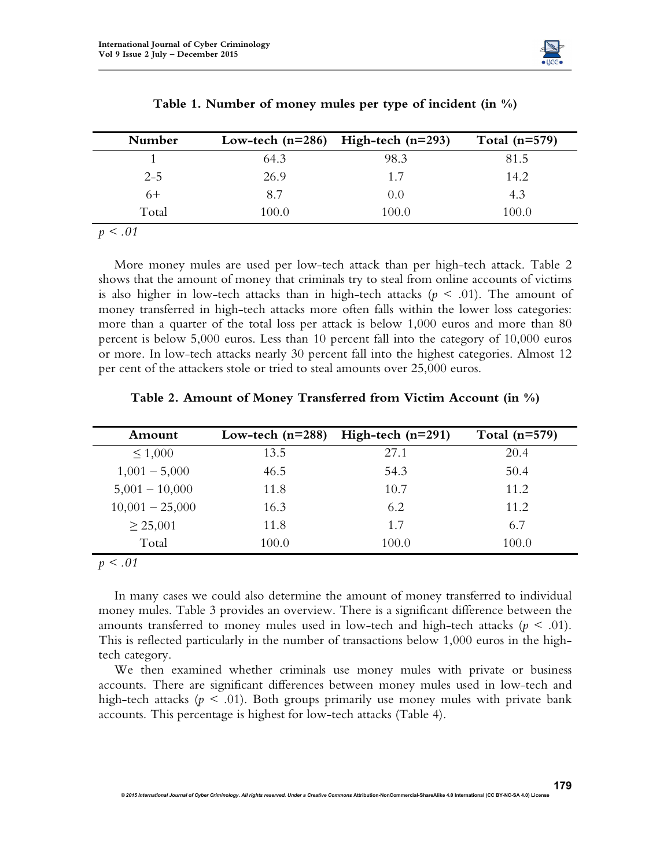

| Number  |       | Low-tech $(n=286)$ High-tech $(n=293)$ | Total $(n=579)$ |
|---------|-------|----------------------------------------|-----------------|
|         | 64.3  | 98.3                                   | 81.5            |
| $2 - 5$ | 26.9  | 1.7                                    | 14.2            |
| 6+      | 8.7   | (0,0)                                  | 4.3             |
| Total   | 100.0 | 100.0                                  | 100.0           |

| Table 1. Number of money mules per type of incident (in $\%$ ) |  |  |
|----------------------------------------------------------------|--|--|
|----------------------------------------------------------------|--|--|

*p < .01* 

More money mules are used per low-tech attack than per high-tech attack. Table 2 shows that the amount of money that criminals try to steal from online accounts of victims is also higher in low-tech attacks than in high-tech attacks  $(p \le 0.01)$ . The amount of money transferred in high-tech attacks more often falls within the lower loss categories: more than a quarter of the total loss per attack is below 1,000 euros and more than 80 percent is below 5,000 euros. Less than 10 percent fall into the category of 10,000 euros or more. In low-tech attacks nearly 30 percent fall into the highest categories. Almost 12 per cent of the attackers stole or tried to steal amounts over 25,000 euros.

| Amount            | Low-tech $(n=288)$ | High-tech $(n=291)$ | Total $(n=579)$ |
|-------------------|--------------------|---------------------|-----------------|
| $\leq 1,000$      | 13.5               | 27.1                | 20.4            |
| $1,001 - 5,000$   | 46.5               | 54.3                | 50.4            |
| $5,001 - 10,000$  | 11.8               | 10.7                | 11.2            |
| $10,001 - 25,000$ | 16.3               | 6.2                 | 11.2            |
| $\geq$ 25,001     | 11.8               | 1.7                 | 6.7             |
| Total             | 100.0              | 100.0               | 100.0           |

**Table 2. Amount of Money Transferred from Victim Account (in %)** 

*p < .01* 

In many cases we could also determine the amount of money transferred to individual money mules. Table 3 provides an overview. There is a significant difference between the amounts transferred to money mules used in low-tech and high-tech attacks  $(p \leq .01)$ . This is reflected particularly in the number of transactions below 1,000 euros in the hightech category.

We then examined whether criminals use money mules with private or business accounts. There are significant differences between money mules used in low-tech and high-tech attacks ( $p < .01$ ). Both groups primarily use money mules with private bank accounts. This percentage is highest for low-tech attacks (Table 4).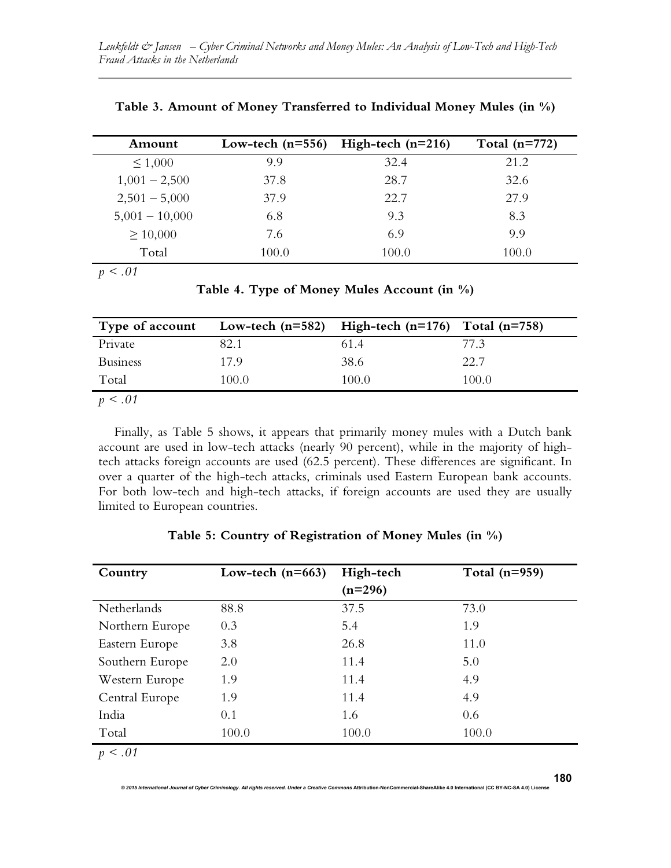| Amount           | Low-tech $(n=556)$ | High-tech $(n=216)$ | Total $(n=772)$ |
|------------------|--------------------|---------------------|-----------------|
| $\leq 1,000$     | 9.9                | 32.4                | 21.2            |
| $1,001 - 2,500$  | 37.8               | 28.7                | 32.6            |
| $2,501 - 5,000$  | 37.9               | 22.7                | 27.9            |
| $5,001 - 10,000$ | 6.8                | 9.3                 | 8.3             |
| $\geq 10,000$    | 7.6                | 6.9                 | 9.9             |
| Total            | 100.0              | 100.0               | 100.0           |

**Table 3. Amount of Money Transferred to Individual Money Mules (in %)** 

*p < .01*

**Table 4. Type of Money Mules Account (in %)** 

| Type of account |       | Low-tech $(n=582)$ High-tech $(n=176)$ Total $(n=758)$ |       |
|-----------------|-------|--------------------------------------------------------|-------|
| Private         | 82.1  | 61.4                                                   | 77.3  |
| <b>Business</b> | 179   | 38.6                                                   | 22.7  |
| Total           | 100.0 | 100.0                                                  | 100.0 |
| ___             |       |                                                        |       |

*p < .01* 

Finally, as Table 5 shows, it appears that primarily money mules with a Dutch bank account are used in low-tech attacks (nearly 90 percent), while in the majority of hightech attacks foreign accounts are used (62.5 percent). These differences are significant. In over a quarter of the high-tech attacks, criminals used Eastern European bank accounts. For both low-tech and high-tech attacks, if foreign accounts are used they are usually limited to European countries.

| Country         | Low-tech $(n=663)$ | High-tech<br>$(n=296)$ | Total $(n=959)$ |
|-----------------|--------------------|------------------------|-----------------|
| Netherlands     | 88.8               | 37.5                   | 73.0            |
| Northern Europe | 0.3                | 5.4                    | 1.9             |
| Eastern Europe  | 3.8                | 26.8                   | 11.0            |
| Southern Europe | 2.0                | 11.4                   | 5.0             |
| Western Europe  | 1.9                | 11.4                   | 4.9             |
| Central Europe  | 1.9                | 11.4                   | 4.9             |
| India           | 0.1                | 1.6                    | 0.6             |
| Total           | 100.0              | 100.0                  | 100.0           |
| $\sim$ 04       |                    |                        |                 |

**Table 5: Country of Registration of Money Mules (in %)** 

*p < .01*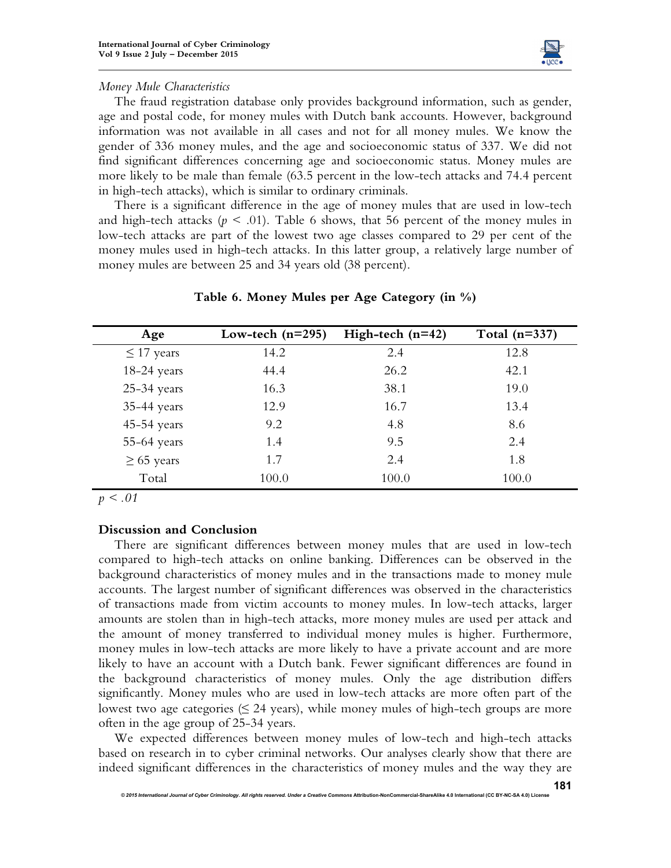

## *Money Mule Characteristics*

The fraud registration database only provides background information, such as gender, age and postal code, for money mules with Dutch bank accounts. However, background information was not available in all cases and not for all money mules. We know the gender of 336 money mules, and the age and socioeconomic status of 337. We did not find significant differences concerning age and socioeconomic status. Money mules are more likely to be male than female (63.5 percent in the low-tech attacks and 74.4 percent in high-tech attacks), which is similar to ordinary criminals.

There is a significant difference in the age of money mules that are used in low-tech and high-tech attacks ( $p \leq .01$ ). Table 6 shows, that 56 percent of the money mules in low-tech attacks are part of the lowest two age classes compared to 29 per cent of the money mules used in high-tech attacks. In this latter group, a relatively large number of money mules are between 25 and 34 years old (38 percent).

| Age             | Low-tech $(n=295)$ | High-tech $(n=42)$ | Total $(n=337)$ |
|-----------------|--------------------|--------------------|-----------------|
| $\leq$ 17 years | 14.2               | 2.4                | 12.8            |
| $18-24$ years   | 44.4               | 26.2               | 42.1            |
| $25-34$ years   | 16.3               | 38.1               | 19.0            |
| 35-44 years     | 12.9               | 16.7               | 13.4            |
| $45-54$ years   | 9.2                | 4.8                | 8.6             |
| $55-64$ years   | 1.4                | 9.5                | 2.4             |
| $\geq 65$ years | 1.7                | 2.4                | 1.8             |
| Total           | 100.0              | 100.0              | 100.0           |

#### **Table 6. Money Mules per Age Category (in %)**

*p < .01* 

## **Discussion and Conclusion**

There are significant differences between money mules that are used in low-tech compared to high-tech attacks on online banking. Differences can be observed in the background characteristics of money mules and in the transactions made to money mule accounts. The largest number of significant differences was observed in the characteristics of transactions made from victim accounts to money mules. In low-tech attacks, larger amounts are stolen than in high-tech attacks, more money mules are used per attack and the amount of money transferred to individual money mules is higher. Furthermore, money mules in low-tech attacks are more likely to have a private account and are more likely to have an account with a Dutch bank. Fewer significant differences are found in the background characteristics of money mules. Only the age distribution differs significantly. Money mules who are used in low-tech attacks are more often part of the lowest two age categories ( $\leq$  24 years), while money mules of high-tech groups are more often in the age group of 25-34 years.

We expected differences between money mules of low-tech and high-tech attacks based on research in to cyber criminal networks. Our analyses clearly show that there are indeed significant differences in the characteristics of money mules and the way they are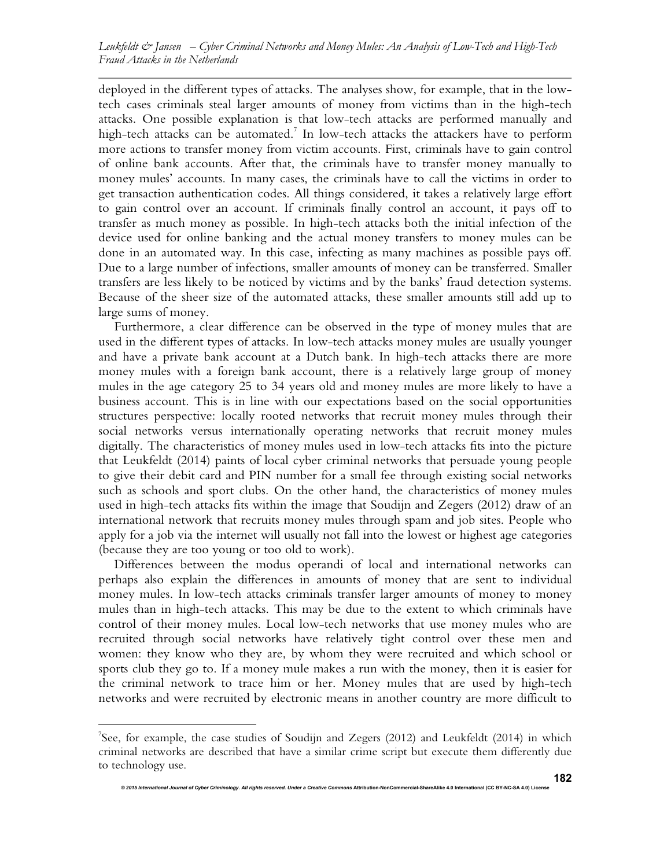deployed in the different types of attacks. The analyses show, for example, that in the lowtech cases criminals steal larger amounts of money from victims than in the high-tech attacks. One possible explanation is that low-tech attacks are performed manually and high-tech attacks can be automated.<sup>7</sup> In low-tech attacks the attackers have to perform more actions to transfer money from victim accounts. First, criminals have to gain control of online bank accounts. After that, the criminals have to transfer money manually to money mules' accounts. In many cases, the criminals have to call the victims in order to get transaction authentication codes. All things considered, it takes a relatively large effort to gain control over an account. If criminals finally control an account, it pays off to transfer as much money as possible. In high-tech attacks both the initial infection of the device used for online banking and the actual money transfers to money mules can be done in an automated way. In this case, infecting as many machines as possible pays off. Due to a large number of infections, smaller amounts of money can be transferred. Smaller transfers are less likely to be noticed by victims and by the banks' fraud detection systems. Because of the sheer size of the automated attacks, these smaller amounts still add up to large sums of money.

Furthermore, a clear difference can be observed in the type of money mules that are used in the different types of attacks. In low-tech attacks money mules are usually younger and have a private bank account at a Dutch bank. In high-tech attacks there are more money mules with a foreign bank account, there is a relatively large group of money mules in the age category 25 to 34 years old and money mules are more likely to have a business account. This is in line with our expectations based on the social opportunities structures perspective: locally rooted networks that recruit money mules through their social networks versus internationally operating networks that recruit money mules digitally. The characteristics of money mules used in low-tech attacks fits into the picture that Leukfeldt (2014) paints of local cyber criminal networks that persuade young people to give their debit card and PIN number for a small fee through existing social networks such as schools and sport clubs. On the other hand, the characteristics of money mules used in high-tech attacks fits within the image that Soudijn and Zegers (2012) draw of an international network that recruits money mules through spam and job sites. People who apply for a job via the internet will usually not fall into the lowest or highest age categories (because they are too young or too old to work).

Differences between the modus operandi of local and international networks can perhaps also explain the differences in amounts of money that are sent to individual money mules. In low-tech attacks criminals transfer larger amounts of money to money mules than in high-tech attacks. This may be due to the extent to which criminals have control of their money mules. Local low-tech networks that use money mules who are recruited through social networks have relatively tight control over these men and women: they know who they are, by whom they were recruited and which school or sports club they go to. If a money mule makes a run with the money, then it is easier for the criminal network to trace him or her. Money mules that are used by high-tech networks and were recruited by electronic means in another country are more difficult to

l

See, for example, the case studies of Soudijn and Zegers (2012) and Leukfeldt (2014) in which criminal networks are described that have a similar crime script but execute them differently due to technology use.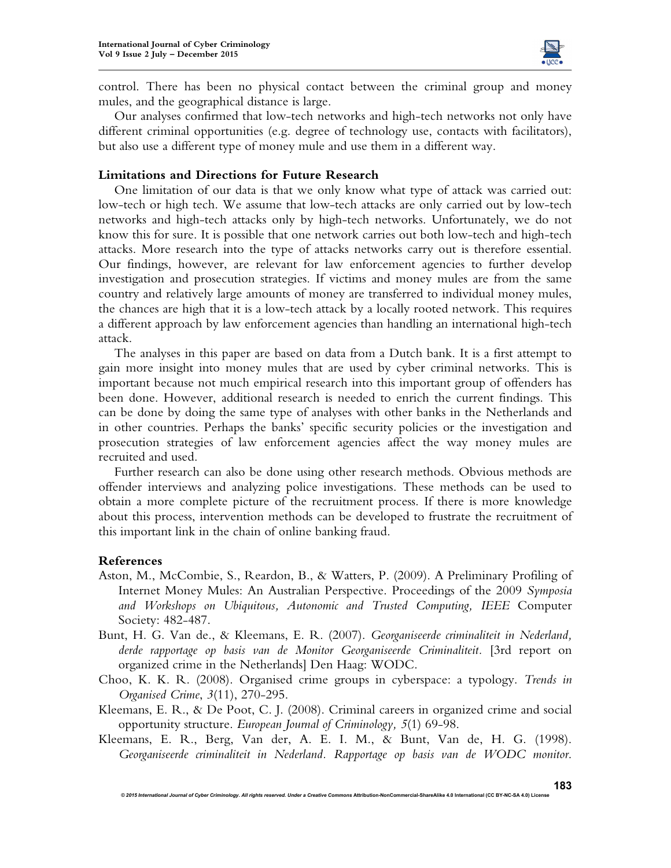

control. There has been no physical contact between the criminal group and money mules, and the geographical distance is large.

Our analyses confirmed that low-tech networks and high-tech networks not only have different criminal opportunities (e.g. degree of technology use, contacts with facilitators), but also use a different type of money mule and use them in a different way.

## **Limitations and Directions for Future Research**

One limitation of our data is that we only know what type of attack was carried out: low-tech or high tech. We assume that low-tech attacks are only carried out by low-tech networks and high-tech attacks only by high-tech networks. Unfortunately, we do not know this for sure. It is possible that one network carries out both low-tech and high-tech attacks. More research into the type of attacks networks carry out is therefore essential. Our findings, however, are relevant for law enforcement agencies to further develop investigation and prosecution strategies. If victims and money mules are from the same country and relatively large amounts of money are transferred to individual money mules, the chances are high that it is a low-tech attack by a locally rooted network. This requires a different approach by law enforcement agencies than handling an international high-tech attack.

The analyses in this paper are based on data from a Dutch bank. It is a first attempt to gain more insight into money mules that are used by cyber criminal networks. This is important because not much empirical research into this important group of offenders has been done. However, additional research is needed to enrich the current findings. This can be done by doing the same type of analyses with other banks in the Netherlands and in other countries. Perhaps the banks' specific security policies or the investigation and prosecution strategies of law enforcement agencies affect the way money mules are recruited and used.

Further research can also be done using other research methods. Obvious methods are offender interviews and analyzing police investigations. These methods can be used to obtain a more complete picture of the recruitment process. If there is more knowledge about this process, intervention methods can be developed to frustrate the recruitment of this important link in the chain of online banking fraud.

#### **References**

- Aston, M., McCombie, S., Reardon, B., & Watters, P. (2009). A Preliminary Profiling of Internet Money Mules: An Australian Perspective. Proceedings of the 2009 *Symposia and Workshops on Ubiquitous, Autonomic and Trusted Computing, IEEE* Computer Society: 482-487.
- Bunt, H. G. Van de., & Kleemans, E. R. (2007). *Georganiseerde criminaliteit in Nederland, derde rapportage op basis van de Monitor Georganiseerde Criminaliteit.* [3rd report on organized crime in the Netherlands] Den Haag: WODC.
- Choo, K. K. R. (2008). Organised crime groups in cyberspace: a typology. *Trends in Organised Crime*, *3*(11), 270-295.
- Kleemans, E. R., & De Poot, C. J. (2008). Criminal careers in organized crime and social opportunity structure. *European Journal of Criminology, 5*(1) 69-98.
- Kleemans, E. R., Berg, Van der, A. E. I. M., & Bunt, Van de, H. G. (1998). *Georganiseerde criminaliteit in Nederland. Rapportage op basis van de WODC monitor*.